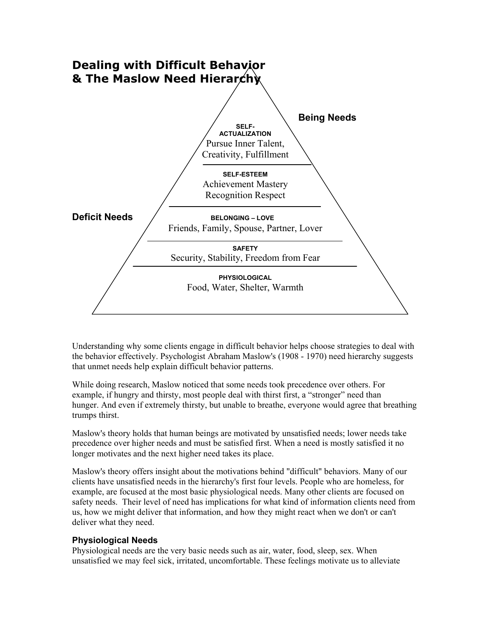

Understanding why some clients engage in difficult behavior helps choose strategies to deal with the behavior effectively. Psychologist Abraham Maslow's (1908 - 1970) need hierarchy suggests that unmet needs help explain difficult behavior patterns.

While doing research, Maslow noticed that some needs took precedence over others. For example, if hungry and thirsty, most people deal with thirst first, a "stronger" need than hunger. And even if extremely thirsty, but unable to breathe, everyone would agree that breathing trumps thirst.

Maslow's theory holds that human beings are motivated by unsatisfied needs; lower needs take precedence over higher needs and must be satisfied first. When a need is mostly satisfied it no longer motivates and the next higher need takes its place.

Maslow's theory offers insight about the motivations behind "difficult" behaviors. Many of our clients have unsatisfied needs in the hierarchy's first four levels. People who are homeless, for example, are focused at the most basic physiological needs. Many other clients are focused on safety needs. Their level of need has implications for what kind of information clients need from us, how we might deliver that information, and how they might react when we don't or can't deliver what they need.

### **Physiological Needs**

Physiological needs are the very basic needs such as air, water, food, sleep, sex. When unsatisfied we may feel sick, irritated, uncomfortable. These feelings motivate us to alleviate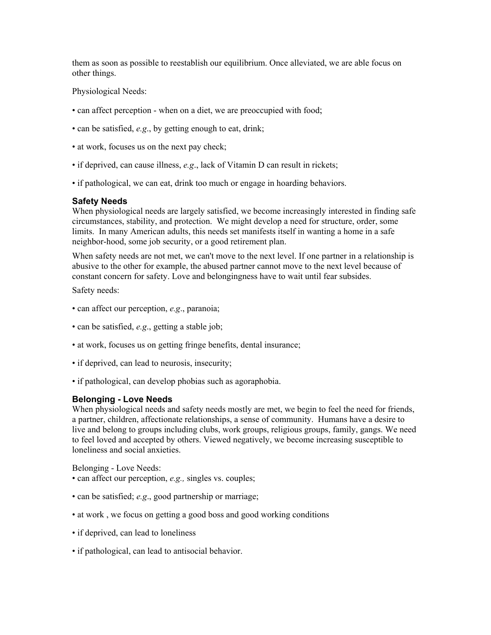them as soon as possible to reestablish our equilibrium. Once alleviated, we are able focus on other things.

Physiological Needs:

- can affect perception when on a diet, we are preoccupied with food;
- can be satisfied, *e.g*., by getting enough to eat, drink;
- at work, focuses us on the next pay check;
- if deprived, can cause illness, *e.g*., lack of Vitamin D can result in rickets;
- if pathological, we can eat, drink too much or engage in hoarding behaviors.

#### **Safety Needs**

When physiological needs are largely satisfied, we become increasingly interested in finding safe circumstances, stability, and protection. We might develop a need for structure, order, some limits. In many American adults, this needs set manifests itself in wanting a home in a safe neighbor-hood, some job security, or a good retirement plan.

When safety needs are not met, we can't move to the next level. If one partner in a relationship is abusive to the other for example, the abused partner cannot move to the next level because of constant concern for safety. Love and belongingness have to wait until fear subsides.

Safety needs:

- can affect our perception, *e.g*., paranoia;
- can be satisfied, *e.g*., getting a stable job;
- at work, focuses us on getting fringe benefits, dental insurance;
- if deprived, can lead to neurosis, insecurity;
- if pathological, can develop phobias such as agoraphobia.

### **Belonging - Love Needs**

When physiological needs and safety needs mostly are met, we begin to feel the need for friends, a partner, children, affectionate relationships, a sense of community. Humans have a desire to live and belong to groups including clubs, work groups, religious groups, family, gangs. We need to feel loved and accepted by others. Viewed negatively, we become increasing susceptible to loneliness and social anxieties.

Belonging - Love Needs:

- can affect our perception, *e.g.,* singles vs. couples;
- can be satisfied; *e.g*., good partnership or marriage;
- at work , we focus on getting a good boss and good working conditions
- if deprived, can lead to loneliness
- if pathological, can lead to antisocial behavior.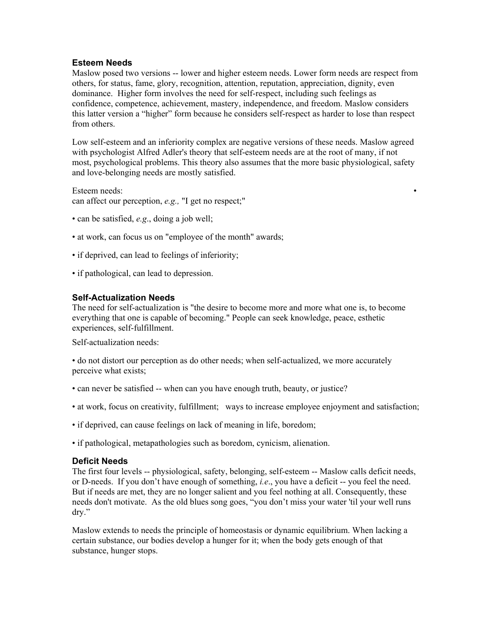## **Esteem Needs**

Maslow posed two versions -- lower and higher esteem needs. Lower form needs are respect from others, for status, fame, glory, recognition, attention, reputation, appreciation, dignity, even dominance. Higher form involves the need for self-respect, including such feelings as confidence, competence, achievement, mastery, independence, and freedom. Maslow considers this latter version a "higher" form because he considers self-respect as harder to lose than respect from others.

Low self-esteem and an inferiority complex are negative versions of these needs. Maslow agreed with psychologist Alfred Adler's theory that self-esteem needs are at the root of many, if not most, psychological problems. This theory also assumes that the more basic physiological, safety and love-belonging needs are mostly satisfied.

Esteem needs: can affect our perception, *e.g.,* "I get no respect;"

- can be satisfied, *e.g*., doing a job well;
- at work, can focus us on "employee of the month" awards;
- if deprived, can lead to feelings of inferiority;
- if pathological, can lead to depression.

## **Self-Actualization Needs**

The need for self-actualization is "the desire to become more and more what one is, to become everything that one is capable of becoming." People can seek knowledge, peace, esthetic experiences, self-fulfillment.

Self-actualization needs:

• do not distort our perception as do other needs; when self-actualized, we more accurately perceive what exists;

- can never be satisfied -- when can you have enough truth, beauty, or justice?
- at work, focus on creativity, fulfillment; ways to increase employee enjoyment and satisfaction;
- if deprived, can cause feelings on lack of meaning in life, boredom;

• if pathological, metapathologies such as boredom, cynicism, alienation.

### **Deficit Needs**

The first four levels -- physiological, safety, belonging, self-esteem -- Maslow calls deficit needs, or D-needs. If you don't have enough of something, *i.e*., you have a deficit -- you feel the need. But if needs are met, they are no longer salient and you feel nothing at all. Consequently, these needs don't motivate. As the old blues song goes, "you don't miss your water 'til your well runs dry."

Maslow extends to needs the principle of homeostasis or dynamic equilibrium. When lacking a certain substance, our bodies develop a hunger for it; when the body gets enough of that substance, hunger stops.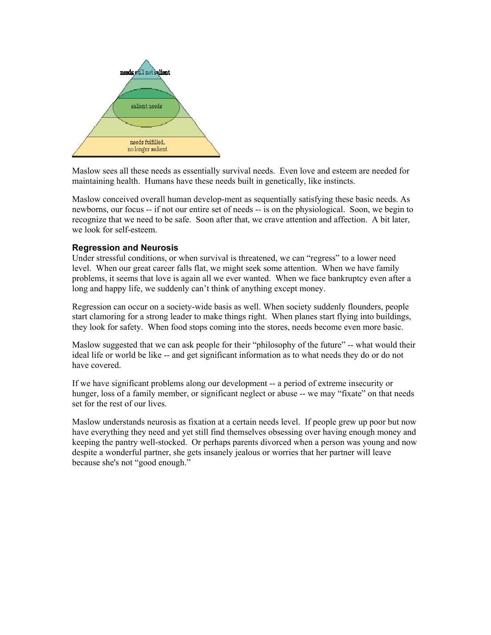

Maslow sees all these needs as essentially survival needs. Even love and esteem are needed for maintaining health. Humans have these needs built in genetically, like instincts.

Maslow conceived overall human develop-ment as sequentially satisfying these basic needs. As newborns, our focus -- if not our entire set of needs -- is on the physiological. Soon, we begin to recognize that we need to be safe. Soon after that, we crave attention and affection. A bit later, we look for self-esteem.

## **Regression and Neurosis**

Under stressful conditions, or when survival is threatened, we can "regress" to a lower need level. When our great career falls flat, we might seek some attention. When we have family problems, it seems that love is again all we ever wanted. When we face bankruptcy even after a long and happy life, we suddenly can't think of anything except money.

Regression can occur on a society-wide basis as well. When society suddenly flounders, people start clamoring for a strong leader to make things right. When planes start flying into buildings, they look for safety. When food stops coming into the stores, needs become even more basic.

Maslow suggested that we can ask people for their "philosophy of the future" -- what would their ideal life or world be like -- and get significant information as to what needs they do or do not have covered.

If we have significant problems along our development -- a period of extreme insecurity or hunger, loss of a family member, or significant neglect or abuse -- we may "fixate" on that needs set for the rest of our lives.

Maslow understands neurosis as fixation at a certain needs level. If people grew up poor but now have everything they need and yet still find themselves obsessing over having enough money and keeping the pantry well-stocked. Or perhaps parents divorced when a person was young and now despite a wonderful partner, she gets insanely jealous or worries that her partner will leave because she's not "good enough."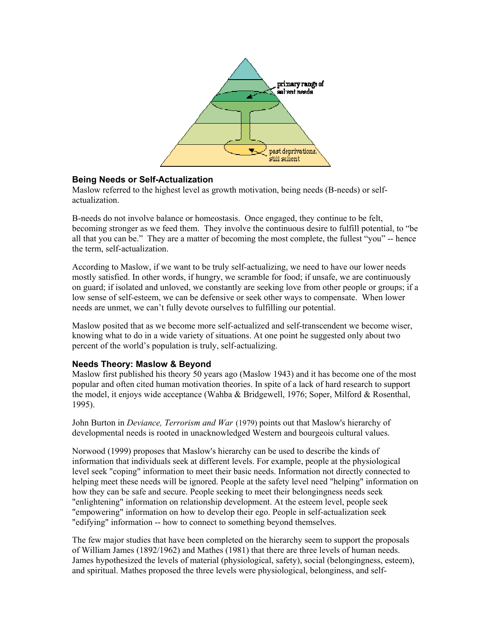

# **Being Needs or Self-Actualization**

Maslow referred to the highest level as growth motivation, being needs (B-needs) or selfactualization.

B-needs do not involve balance or homeostasis. Once engaged, they continue to be felt, becoming stronger as we feed them. They involve the continuous desire to fulfill potential, to "be all that you can be." They are a matter of becoming the most complete, the fullest "you" -- hence the term, self-actualization.

According to Maslow, if we want to be truly self-actualizing, we need to have our lower needs mostly satisfied. In other words, if hungry, we scramble for food; if unsafe, we are continuously on guard; if isolated and unloved, we constantly are seeking love from other people or groups; if a low sense of self-esteem, we can be defensive or seek other ways to compensate. When lower needs are unmet, we can't fully devote ourselves to fulfilling our potential.

Maslow posited that as we become more self-actualized and self-transcendent we become wiser, knowing what to do in a wide variety of situations. At one point he suggested only about two percent of the world's population is truly, self-actualizing.

# **Needs Theory: Maslow & Beyond**

Maslow first published his theory 50 years ago (Maslow 1943) and it has become one of the most popular and often cited human motivation theories. In spite of a lack of hard research to support the model, it enjoys wide acceptance (Wahba & Bridgewell, 1976; Soper, Milford & Rosenthal, 1995).

John Burton in *Deviance, Terrorism and War* (1979) points out that Maslow's hierarchy of developmental needs is rooted in unacknowledged Western and bourgeois cultural values.

Norwood (1999) proposes that Maslow's hierarchy can be used to describe the kinds of information that individuals seek at different levels. For example, people at the physiological level seek "coping" information to meet their basic needs. Information not directly connected to helping meet these needs will be ignored. People at the safety level need "helping" information on how they can be safe and secure. People seeking to meet their belongingness needs seek "enlightening" information on relationship development. At the esteem level, people seek "empowering" information on how to develop their ego. People in self-actualization seek "edifying" information -- how to connect to something beyond themselves.

The few major studies that have been completed on the hierarchy seem to support the proposals of William James (1892/1962) and Mathes (1981) that there are three levels of human needs. James hypothesized the levels of material (physiological, safety), social (belongingness, esteem), and spiritual. Mathes proposed the three levels were physiological, belonginess, and self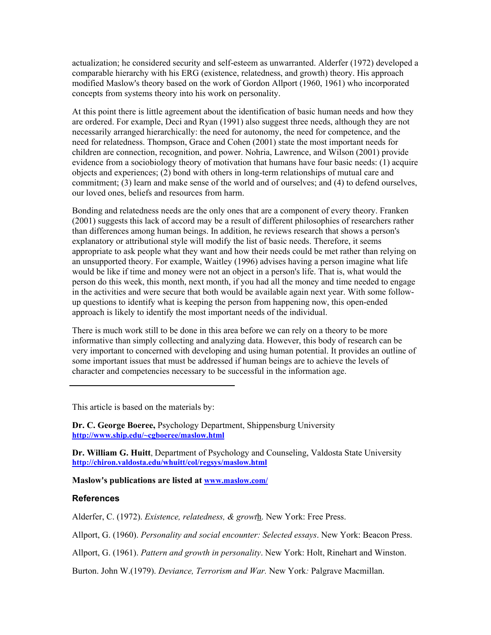actualization; he considered security and self-esteem as unwarranted. Alderfer (1972) developed a comparable hierarchy with his ERG (existence, relatedness, and growth) theory. His approach modified Maslow's theory based on the work of Gordon Allport (1960, 1961) who incorporated concepts from systems theory into his work on personality.

At this point there is little agreement about the identification of basic human needs and how they are ordered. For example, Deci and Ryan (1991) also suggest three needs, although they are not necessarily arranged hierarchically: the need for autonomy, the need for competence, and the need for relatedness. Thompson, Grace and Cohen (2001) state the most important needs for children are connection, recognition, and power. Nohria, Lawrence, and Wilson (2001) provide evidence from a sociobiology theory of motivation that humans have four basic needs: (1) acquire objects and experiences; (2) bond with others in long-term relationships of mutual care and commitment; (3) learn and make sense of the world and of ourselves; and (4) to defend ourselves, our loved ones, beliefs and resources from harm.

Bonding and relatedness needs are the only ones that are a component of every theory. Franken (2001) suggests this lack of accord may be a result of different philosophies of researchers rather than differences among human beings. In addition, he reviews research that shows a person's explanatory or attributional style will modify the list of basic needs. Therefore, it seems appropriate to ask people what they want and how their needs could be met rather than relying on an unsupported theory. For example, Waitley (1996) advises having a person imagine what life would be like if time and money were not an object in a person's life. That is, what would the person do this week, this month, next month, if you had all the money and time needed to engage in the activities and were secure that both would be available again next year. With some followup questions to identify what is keeping the person from happening now, this open-ended approach is likely to identify the most important needs of the individual.

There is much work still to be done in this area before we can rely on a theory to be more informative than simply collecting and analyzing data. However, this body of research can be very important to concerned with developing and using human potential. It provides an outline of some important issues that must be addressed if human beings are to achieve the levels of character and competencies necessary to be successful in the information age.

This article is based on the materials by:

**Dr. C. George Boeree,** Psychology Department, Shippensburg University **<http://www.ship.edu/~cgboeree/maslow.html>**

**Dr. William G. Huitt**, Department of Psychology and Counseling, Valdosta State University **<http://chiron.valdosta.edu/whuitt/col/regsys/maslow.html>**

#### **Maslow's publications are listed at [www.maslow.com/](http://www.maslow.com/)**

#### **References**

Alderfer, C. (1972). *Existence, relatedness, & growt*h. New York: Free Press.

Allport, G. (1960). *Personality and social encounter: Selected essays*. New York: Beacon Press.

Allport, G. (1961). *Pattern and growth in personality*. New York: Holt, Rinehart and Winston.

Burton. John W.(1979). *Deviance, Terrorism and War.* New York*:* Palgrave Macmillan.